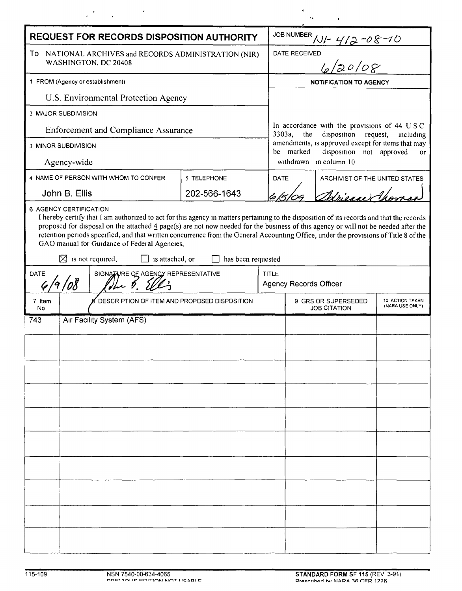| <b>REQUEST FOR RECORDS DISPOSITION AUTHORITY</b>                                                                                                                                                                                                                                                                                                                                                                                                                                                              |                                                      |                                              |              |              | JOB NUMBER NI- 412-08-10                                                                                                                                                                                                        |  |  |  |
|---------------------------------------------------------------------------------------------------------------------------------------------------------------------------------------------------------------------------------------------------------------------------------------------------------------------------------------------------------------------------------------------------------------------------------------------------------------------------------------------------------------|------------------------------------------------------|----------------------------------------------|--------------|--------------|---------------------------------------------------------------------------------------------------------------------------------------------------------------------------------------------------------------------------------|--|--|--|
| To NATIONAL ARCHIVES and RECORDS ADMINISTRATION (NIR)<br>WASHINGTON, DC 20408                                                                                                                                                                                                                                                                                                                                                                                                                                 |                                                      |                                              |              |              | ,<br>6/20/08<br>DATE RECEIVED                                                                                                                                                                                                   |  |  |  |
|                                                                                                                                                                                                                                                                                                                                                                                                                                                                                                               |                                                      |                                              |              |              |                                                                                                                                                                                                                                 |  |  |  |
| 1 FROM (Agency or establishment)                                                                                                                                                                                                                                                                                                                                                                                                                                                                              |                                                      |                                              |              |              | <b>NOTIFICATION TO AGENCY</b>                                                                                                                                                                                                   |  |  |  |
| U.S. Environmental Protection Agency                                                                                                                                                                                                                                                                                                                                                                                                                                                                          |                                                      |                                              |              |              |                                                                                                                                                                                                                                 |  |  |  |
| 2 MAJOR SUBDIVISION                                                                                                                                                                                                                                                                                                                                                                                                                                                                                           |                                                      |                                              |              |              | In accordance with the provisions of 44 USC<br>disposition request,<br>3303a,<br>the<br>including<br>amendments, is approved except for items that may<br>be marked<br>disposition not approved<br>or<br>withdrawn in column 10 |  |  |  |
| <b>Enforcement and Compliance Assurance</b>                                                                                                                                                                                                                                                                                                                                                                                                                                                                   |                                                      |                                              |              |              |                                                                                                                                                                                                                                 |  |  |  |
| 3 MINOR SUBDIVISION                                                                                                                                                                                                                                                                                                                                                                                                                                                                                           |                                                      |                                              |              |              |                                                                                                                                                                                                                                 |  |  |  |
| Agency-wide                                                                                                                                                                                                                                                                                                                                                                                                                                                                                                   |                                                      |                                              |              |              |                                                                                                                                                                                                                                 |  |  |  |
| 4 NAME OF PERSON WITH WHOM TO CONFER                                                                                                                                                                                                                                                                                                                                                                                                                                                                          |                                                      |                                              | 5 TELEPHONE  |              | DATE<br>ARCHIVIST OF THE UNITED STATES                                                                                                                                                                                          |  |  |  |
| John B. Ellis                                                                                                                                                                                                                                                                                                                                                                                                                                                                                                 |                                                      |                                              | 202-566-1643 |              | Wiener Ahn                                                                                                                                                                                                                      |  |  |  |
| 6 AGENCY CERTIFICATION<br>I hereby certify that I am authorized to act for this agency in matters pertaining to the disposition of its records and that the records<br>proposed for disposal on the attached $\frac{4}{3}$ page(s) are not now needed for the business of this agency or will not be needed after the<br>retention periods specified, and that written concurrence from the General Accounting Office, under the provisions of Title 8 of the<br>GAO manual for Guidance of Federal Agencies, |                                                      |                                              |              |              |                                                                                                                                                                                                                                 |  |  |  |
| $\boxtimes$ is not required,<br>is attached, or<br>has been requested                                                                                                                                                                                                                                                                                                                                                                                                                                         |                                                      |                                              |              |              |                                                                                                                                                                                                                                 |  |  |  |
| <b>DATE</b>                                                                                                                                                                                                                                                                                                                                                                                                                                                                                                   | SIGNATURE OF AGENCY REPRESENTATIVE<br>19/08<br>The 5 |                                              |              | <b>TITLE</b> | <b>Agency Records Officer</b>                                                                                                                                                                                                   |  |  |  |
| 7 Item<br>No                                                                                                                                                                                                                                                                                                                                                                                                                                                                                                  |                                                      | DESCRIPTION OF ITEM AND PROPOSED DISPOSITION |              |              | 9 GRS OR SUPERSEDED<br>10 ACTION TAKEN<br>(NARA USE ONLY)<br><b>JOB CITATION</b>                                                                                                                                                |  |  |  |
| 743                                                                                                                                                                                                                                                                                                                                                                                                                                                                                                           | Air Facility System (AFS)                            |                                              |              |              |                                                                                                                                                                                                                                 |  |  |  |
|                                                                                                                                                                                                                                                                                                                                                                                                                                                                                                               |                                                      |                                              |              |              |                                                                                                                                                                                                                                 |  |  |  |
|                                                                                                                                                                                                                                                                                                                                                                                                                                                                                                               |                                                      |                                              |              |              |                                                                                                                                                                                                                                 |  |  |  |
|                                                                                                                                                                                                                                                                                                                                                                                                                                                                                                               |                                                      |                                              |              |              |                                                                                                                                                                                                                                 |  |  |  |
|                                                                                                                                                                                                                                                                                                                                                                                                                                                                                                               |                                                      |                                              |              |              |                                                                                                                                                                                                                                 |  |  |  |
|                                                                                                                                                                                                                                                                                                                                                                                                                                                                                                               |                                                      |                                              |              |              |                                                                                                                                                                                                                                 |  |  |  |
|                                                                                                                                                                                                                                                                                                                                                                                                                                                                                                               |                                                      |                                              |              |              |                                                                                                                                                                                                                                 |  |  |  |
|                                                                                                                                                                                                                                                                                                                                                                                                                                                                                                               |                                                      |                                              |              |              |                                                                                                                                                                                                                                 |  |  |  |
|                                                                                                                                                                                                                                                                                                                                                                                                                                                                                                               |                                                      |                                              |              |              |                                                                                                                                                                                                                                 |  |  |  |
|                                                                                                                                                                                                                                                                                                                                                                                                                                                                                                               |                                                      |                                              |              |              |                                                                                                                                                                                                                                 |  |  |  |
|                                                                                                                                                                                                                                                                                                                                                                                                                                                                                                               |                                                      |                                              |              |              |                                                                                                                                                                                                                                 |  |  |  |
|                                                                                                                                                                                                                                                                                                                                                                                                                                                                                                               |                                                      |                                              |              |              |                                                                                                                                                                                                                                 |  |  |  |
|                                                                                                                                                                                                                                                                                                                                                                                                                                                                                                               |                                                      |                                              |              |              |                                                                                                                                                                                                                                 |  |  |  |
|                                                                                                                                                                                                                                                                                                                                                                                                                                                                                                               |                                                      |                                              |              |              |                                                                                                                                                                                                                                 |  |  |  |
|                                                                                                                                                                                                                                                                                                                                                                                                                                                                                                               |                                                      |                                              |              |              |                                                                                                                                                                                                                                 |  |  |  |

 $\label{eq:2.1} \frac{1}{2}\sum_{i=1}^n\frac{1}{2}\sum_{i=1}^n\frac{1}{2}\sum_{j=1}^n\frac{1}{2}\sum_{i=1}^n\frac{1}{2}\sum_{i=1}^n\frac{1}{2}\sum_{j=1}^n\frac{1}{2}\sum_{i=1}^n\frac{1}{2}\sum_{j=1}^n\frac{1}{2}\sum_{i=1}^n\frac{1}{2}\sum_{i=1}^n\frac{1}{2}\sum_{j=1}^n\frac{1}{2}\sum_{i=1}^n\frac{1}{2}\sum_{i=1}^n\frac{1}{2}\sum_{i=1}^n\$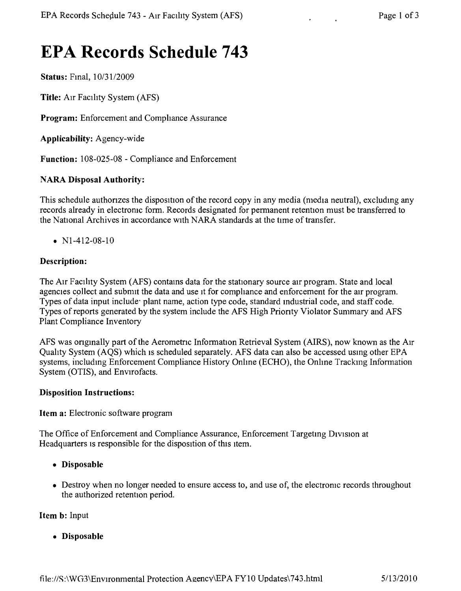# **EPA Records Schedule 743**

Status: Fmal, *10/31/2009*

Title: AIr Facility System (AFS)

Program: Enforcement and Comphance Assurance

Applicability: Agency-wide

Function: 108-025-08 - Compliance and Enforcement

#### NARA Disposal Authority:

This schedule authonzes the disposition of the record copy in any media (media neutral), excludmg any records already in electromc form. Records designated for permanent retention must be transferred to the National Archives in accordance with NARA standards at the time of transfer.

•  $N1-412-08-10$ 

#### Description:

The Aur Facility System (AFS) contains data for the stationary source air program. State and local agencies collect and submit the data and use it for compliance and enforcement for the air program. Types of data input include' plant name, action type code, standard mdustrial code, and staff code. Types of reports generated by the system include the AFS High Prionty Violator Summary and AFS Plant Compliance Inventory

AFS was ongmally part of the Aerometnc Information Retrieval System (AIRS), now known as the AIr Quahty System (AQS) which IS scheduled separately. AFS data can also be accessed usmg other EPA systems, including Enforcement Compliance History Online (ECHO), the Online Tracking Information System (OTIS), and Envirofacts.

#### Disposition Instructions:

Item a: Electronic software program

The Office of Enforcement and Compliance Assurance, Enforcement Targeting Division at Headquarters is responsible for the disposition of this item.

- • Disposable
- Destroy when no longer needed to ensure access to, and use of, the electronic records throughout the authorized retention period.

Item b: Input

• Disposable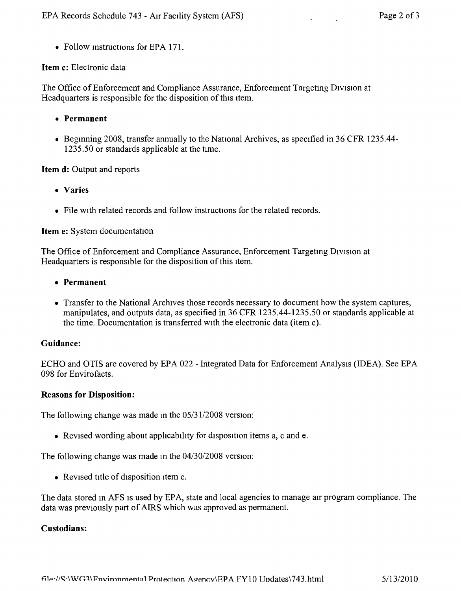• Follow instructions for EPA 171.

#### **Item** c: Electronic data

The Office of Enforcement and Compliance Assurance, Enforcement Targeting Division at Headquarters is responsible for the disposition of this item.

- **• Permanent**
- Beginning 2008, transfer annually to the National Archives, as specified in 36 CFR 1235.44-1235.50 or standards applicable at the time.

#### **Item d:** Output and reports

- **• Varies**
- File with related records and follow instructions for the related records.

#### **Item** e: System documentation

The Office of Enforcement and Compliance Assurance, Enforcement Targeting Division at Headquarters is responsible for the disposition of this item.

- **• Permanent**
- Transfer to the National Archives those records necessary to document how the system captures, manipulates, and outputs data, as specified in 36 CFR 1235.44-1235.50 or standards applicable at the time. Documentation is transferred with the electronic data (item c).

#### **Guidance:**

ECHO and OTIS are covered by EPA 022 - Integrated Data for Enforcement Analysis (IDEA). See EPA 098 for Envirofacts.

#### **Reasons for Disposition:**

The following change was made m the *05/3112008* version:

• Revised wording about apphcabihty for drsposition items a, c and e.

The following change was made m the *04/30/2008* version:

• Revised title of disposition item e.

The data stored in AFS is used by EPA, state and local agencies to manage air program compliance. The data was previously part of AIRS which was approved as permanent.

#### **Custodians:**